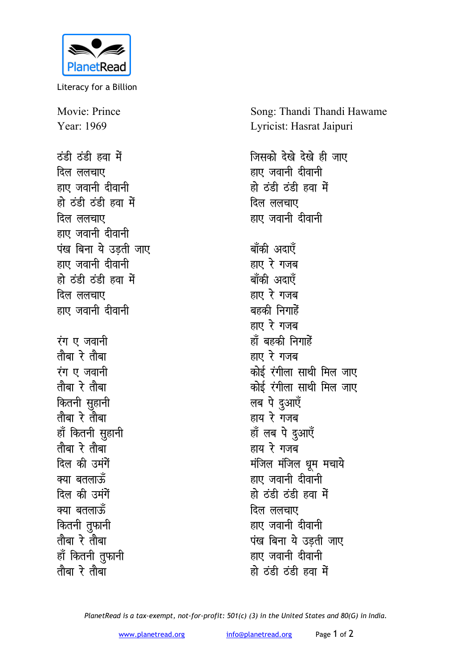

Literacy for a Billion

Movie: Prince Year: 1969

<u>ठंडी ठंडी हवा में</u> **दिल** ललचाए हाए जवानी दीवानी हो ठंडी ठंडी हवा में <u>दिल ललचाए</u> हाए जवानी दीवानी **पंख बिना ये उडती जाए** हाए जवानी दीवानी हो ठंडी ठंडी हवा में **दिल** ललचाए हाए जवानी दीवानी **i**य एजवानी तौबा रे तौबा *i***u** ए जवानी <u>तौबा रे तौबा</u> *कितनी सुहानी* <u>तौबा रे तौबा</u> हाँ कितनी सुहानी <u>तौबा रे तौबा</u> **दिल की उमंगें** क्या बतलाऊँ **दिल की उमंगें** क्या बतलाऊँ *कि*तनी तुफानी <u>तौबा रे तौबा</u> हाँ कितनी <u>त</u>ुफानी <u>तौबा रे तौबा</u>

Song: Thandi Thandi Hawame Lyricist: Hasrat Jaipuri

**जिसको देखे देखे ही जाए** हाए जवानी दीवानी हो ठंडी ठंडी हवा में <u>दिल ललचाए</u> हाए जवानी दीवानी बाँकी अदाएँ **हाए रे गजब** बाँकी अदाएँ हाए रे गजब बहकी निगाहे<mark>ं</mark> **हाए** रे गजब हाँ बहकी निगाहे<mark>ं</mark> हाए रे गजब <u>कोई रंगीला साथी मिल जाए</u> *कोई रं*गीला साथी मिल जाए लब पे दुआएँ हाय रे गंजब हाँ लब पे <u>दु</u>आएँ हाय रे गजब **मंजिल मंजिल धूम मचाये** हाए जवानी दीवानी हो ठंडी ठंडी हवा में <u>दिल ललचाए</u> हाए जवानी दीवानी **पंख बिना ये उड़ती जाए** हाए जवानी दीवानी हो ठ<u>ंडी हंडी हवा</u> में

*PlanetRead is a tax-exempt, not-for-profit: 501(c) (3) in the United States and 80(G) in India.*